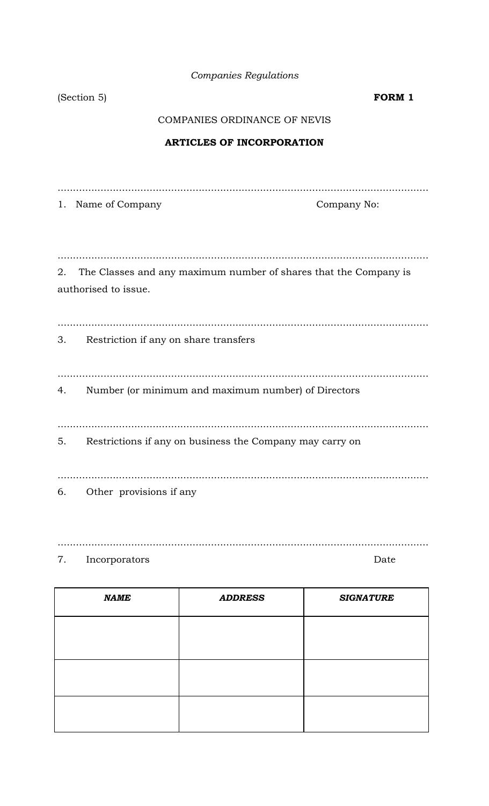| <b>Companies Regulations</b> |  |  |
|------------------------------|--|--|
|                              |  |  |

|                                                                        | (Section 5)<br><b>FORM 1</b>                             |  |  |  |  |
|------------------------------------------------------------------------|----------------------------------------------------------|--|--|--|--|
|                                                                        | COMPANIES ORDINANCE OF NEVIS                             |  |  |  |  |
|                                                                        | <b>ARTICLES OF INCORPORATION</b>                         |  |  |  |  |
|                                                                        |                                                          |  |  |  |  |
|                                                                        |                                                          |  |  |  |  |
|                                                                        | 1. Name of Company<br>Company No:                        |  |  |  |  |
|                                                                        |                                                          |  |  |  |  |
|                                                                        |                                                          |  |  |  |  |
| The Classes and any maximum number of shares that the Company is<br>2. |                                                          |  |  |  |  |
| authorised to issue.                                                   |                                                          |  |  |  |  |
|                                                                        |                                                          |  |  |  |  |
| Restriction if any on share transfers<br>3.                            |                                                          |  |  |  |  |
|                                                                        |                                                          |  |  |  |  |
|                                                                        |                                                          |  |  |  |  |
| 4.                                                                     | Number (or minimum and maximum number) of Directors      |  |  |  |  |
|                                                                        |                                                          |  |  |  |  |
| 5.                                                                     | Restrictions if any on business the Company may carry on |  |  |  |  |
|                                                                        |                                                          |  |  |  |  |
|                                                                        |                                                          |  |  |  |  |
| 6.                                                                     | Other provisions if any                                  |  |  |  |  |
|                                                                        |                                                          |  |  |  |  |

 $\overline{7}$ . Incorporators

Date

| <b>NAME</b> | <b>ADDRESS</b> | <b>SIGNATURE</b> |
|-------------|----------------|------------------|
|             |                |                  |
|             |                |                  |
|             |                |                  |
|             |                |                  |
|             |                |                  |